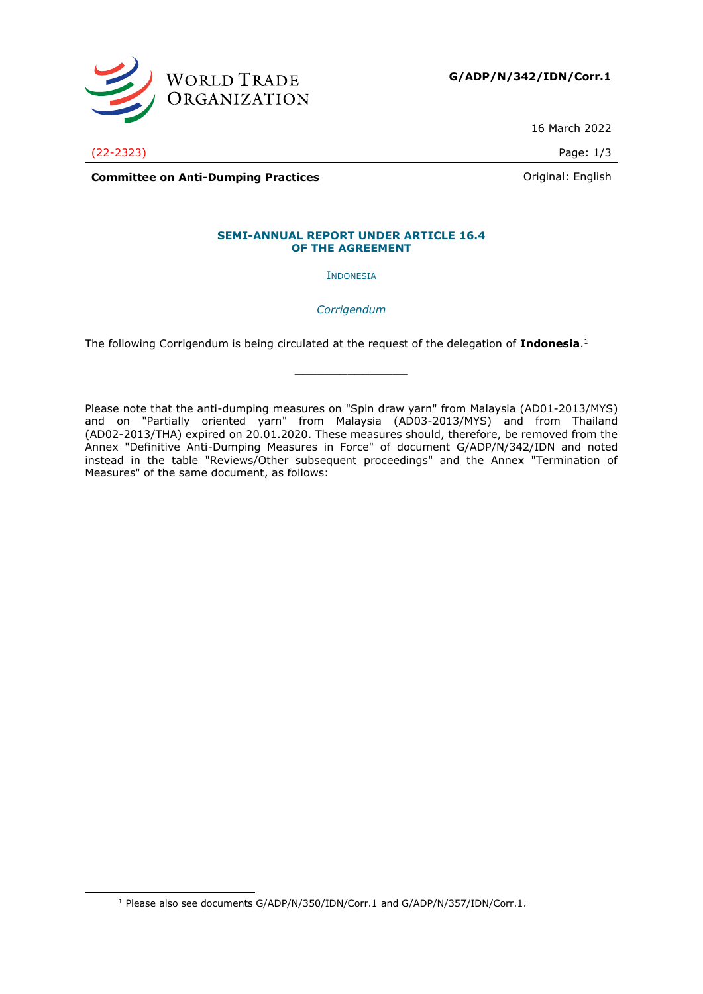

**G/ADP/N/342/IDN/Corr.1**

16 March 2022

(22-2323) Page: 1/3

**Committee on Anti-Dumping Practices Committee on Anti-Dumping Practices Committee on Anti-Dumping Practices** 

### **SEMI-ANNUAL REPORT UNDER ARTICLE 16.4 OF THE AGREEMENT**

INDONESIA

*Corrigendum*

**\_\_\_\_\_\_\_\_\_\_\_\_\_\_\_**

The following Corrigendum is being circulated at the request of the delegation of **Indonesia**. 1

Please note that the anti-dumping measures on "Spin draw yarn" from Malaysia (AD01-2013/MYS) and on "Partially oriented yarn" from Malaysia (AD03-2013/MYS) and from Thailand (AD02-2013/THA) expired on 20.01.2020. These measures should, therefore, be removed from the Annex "Definitive Anti-Dumping Measures in Force" of document G/ADP/N/342/IDN and noted instead in the table "Reviews/Other subsequent proceedings" and the Annex "Termination of Measures" of the same document, as follows:

<sup>&</sup>lt;sup>1</sup> Please also see documents G/ADP/N/350/IDN/Corr.1 and G/ADP/N/357/IDN/Corr.1.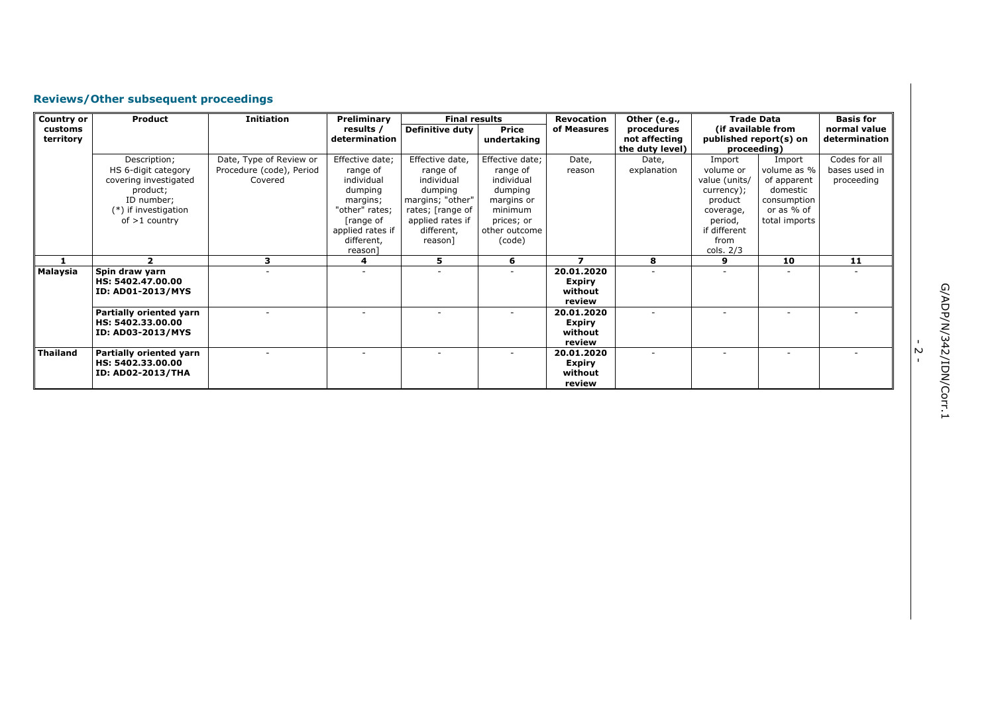# **Reviews/Other subsequent proceedings**

| <b>Country or</b> | <b>Product</b>                               | <b>Initiation</b>        | Preliminary                   |                                | <b>Final results</b><br>Revocation |                             | Other (e.g.,                     | <b>Trade Data</b>                     |               | <b>Basis for</b> |
|-------------------|----------------------------------------------|--------------------------|-------------------------------|--------------------------------|------------------------------------|-----------------------------|----------------------------------|---------------------------------------|---------------|------------------|
| customs           |                                              |                          | results /                     | <b>Definitive duty</b>         | <b>Price</b>                       | of Measures                 | procedures                       | (if available from                    |               | normal value     |
| territory         |                                              |                          | determination                 |                                | undertaking                        |                             | not affecting<br>the duty level) | published report(s) on<br>proceeding) |               | determination    |
|                   | Description;                                 | Date, Type of Review or  | Effective date;               | Effective date,                | Effective date;                    | Date,                       | Date,                            | Import                                | Import        | Codes for all    |
|                   | HS 6-digit category                          | Procedure (code), Period | range of                      | range of                       | range of                           | reason                      | explanation                      | volume or                             | volume as %   | bases used in    |
|                   | covering investigated                        | Covered                  | individual                    | individual                     | individual                         |                             |                                  | value (units/                         | of apparent   | proceeding       |
|                   | product;                                     |                          | dumping                       | dumping                        | dumping                            |                             |                                  | currency);                            | domestic      |                  |
|                   | ID number;                                   |                          | margins;                      | margins; "other"               | margins or                         |                             |                                  | product                               | consumption   |                  |
|                   | $(*)$ if investigation                       |                          | "other" rates;                | rates; [range of               | minimum                            |                             |                                  | coverage,                             | or as % of    |                  |
|                   | of $>1$ country                              |                          | [range of<br>applied rates if | applied rates if<br>different, | prices; or<br>other outcome        |                             |                                  | period,<br>if different               | total imports |                  |
|                   |                                              |                          | different,                    | reason]                        | (code)                             |                             |                                  | from                                  |               |                  |
|                   |                                              |                          | reason                        |                                |                                    |                             |                                  | cols. $2/3$                           |               |                  |
|                   | 2                                            | 3                        | 4                             | 5                              | 6                                  | $\overline{\phantom{a}}$    | 8                                | 9                                     | 10            | 11               |
| Malaysia          | Spin draw yarn                               |                          |                               |                                |                                    | 20.01.2020                  |                                  |                                       |               |                  |
|                   | HS: 5402.47.00.00                            |                          |                               |                                |                                    | <b>Expiry</b>               |                                  |                                       |               |                  |
|                   | <b>ID: AD01-2013/MYS</b>                     |                          |                               |                                |                                    | without                     |                                  |                                       |               |                  |
|                   |                                              |                          |                               |                                |                                    | review                      |                                  |                                       |               |                  |
|                   | Partially oriented yarn<br>HS: 5402.33.00.00 |                          |                               |                                |                                    | 20.01.2020<br><b>Expiry</b> |                                  |                                       |               |                  |
|                   | <b>ID: AD03-2013/MYS</b>                     |                          |                               |                                |                                    | without                     |                                  |                                       |               |                  |
|                   |                                              |                          |                               |                                |                                    | review                      |                                  |                                       |               |                  |
| <b>Thailand</b>   | Partially oriented yarn                      |                          |                               |                                |                                    | 20.01.2020                  |                                  |                                       |               |                  |
|                   | HS: 5402.33.00.00                            |                          |                               |                                |                                    | <b>Expiry</b>               |                                  |                                       |               |                  |
|                   | <b>ID: AD02-2013/THA</b>                     |                          |                               |                                |                                    | without                     |                                  |                                       |               |                  |
|                   |                                              |                          |                               |                                |                                    | review                      |                                  |                                       |               |                  |

G/ADP/N/342/IDN/Corr.1 G/ADP/N/342/IDN/Corr.1

- 2 -